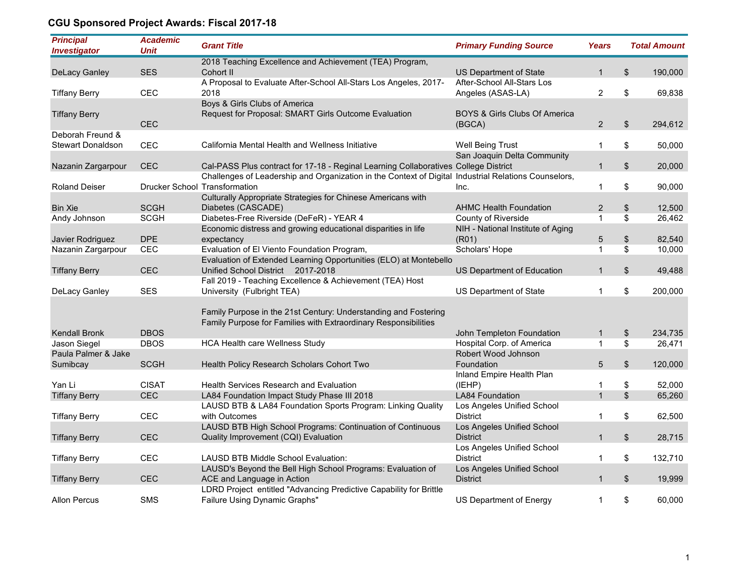## **CGU Sponsored Project Awards: Fiscal 2017-18**

| <b>Principal</b><br><b>Investigator</b> | <b>Academic</b><br><b>Unit</b> | <b>Grant Title</b>                                                                                     | <b>Primary Funding Source</b>            | Years             |                   | <b>Total Amount</b> |
|-----------------------------------------|--------------------------------|--------------------------------------------------------------------------------------------------------|------------------------------------------|-------------------|-------------------|---------------------|
|                                         |                                | 2018 Teaching Excellence and Achievement (TEA) Program,                                                |                                          |                   |                   |                     |
| <b>DeLacy Ganley</b>                    | <b>SES</b>                     | Cohort II                                                                                              | US Department of State                   | $\mathbf{1}$      | \$                | 190,000             |
|                                         |                                | A Proposal to Evaluate After-School All-Stars Los Angeles, 2017-                                       | After-School All-Stars Los               |                   |                   |                     |
| <b>Tiffany Berry</b>                    | CEC                            | 2018                                                                                                   | Angeles (ASAS-LA)                        | 2                 | \$                | 69,838              |
|                                         |                                | Boys & Girls Clubs of America                                                                          |                                          |                   |                   |                     |
| <b>Tiffany Berry</b>                    |                                | Request for Proposal: SMART Girls Outcome Evaluation                                                   | <b>BOYS &amp; Girls Clubs Of America</b> |                   |                   |                     |
|                                         | <b>CEC</b>                     |                                                                                                        | (BGCA)                                   | 2                 | \$                | 294,612             |
| Deborah Freund &                        |                                |                                                                                                        |                                          |                   |                   |                     |
| <b>Stewart Donaldson</b>                | <b>CEC</b>                     | California Mental Health and Wellness Initiative                                                       | Well Being Trust                         | $\mathbf{1}$      | \$                | 50,000              |
|                                         |                                |                                                                                                        | San Joaquin Delta Community              |                   |                   |                     |
| Nazanin Zargarpour                      | <b>CEC</b>                     | Cal-PASS Plus contract for 17-18 - Reginal Learning Collaboratives College District                    |                                          | $\mathbf{1}$      | \$                | 20,000              |
|                                         |                                | Challenges of Leadership and Organization in the Context of Digital Industrial Relations Counselors,   |                                          |                   |                   |                     |
| <b>Roland Deiser</b>                    |                                | <b>Drucker School Transformation</b>                                                                   | Inc.                                     | 1                 | \$                | 90,000              |
|                                         |                                | Culturally Appropriate Strategies for Chinese Americans with                                           |                                          |                   |                   |                     |
| <b>Bin Xie</b>                          | <b>SCGH</b>                    | Diabetes (CASCADE)                                                                                     | <b>AHMC Health Foundation</b>            | $\overline{c}$    | \$                | 12,500              |
| Andy Johnson                            | <b>SCGH</b>                    | Diabetes-Free Riverside (DeFeR) - YEAR 4                                                               | County of Riverside                      | $\mathbf{1}$      | \$                | 26,462              |
|                                         | <b>DPE</b>                     | Economic distress and growing educational disparities in life                                          | NIH - National Institute of Aging        |                   |                   |                     |
| Javier Rodriguez                        |                                | expectancy                                                                                             | (R01)                                    | 5<br>$\mathbf{1}$ | $\boldsymbol{\$}$ | 82,540              |
| Nazanin Zargarpour                      | <b>CEC</b>                     | Evaluation of El Viento Foundation Program,                                                            | Scholars' Hope                           |                   | \$                | 10,000              |
|                                         | <b>CEC</b>                     | Evaluation of Extended Learning Opportunities (ELO) at Montebello<br>Unified School District 2017-2018 | US Department of Education               | $\mathbf{1}$      | \$                | 49,488              |
| <b>Tiffany Berry</b>                    |                                | Fall 2019 - Teaching Excellence & Achievement (TEA) Host                                               |                                          |                   |                   |                     |
| DeLacy Ganley                           | <b>SES</b>                     | University (Fulbright TEA)                                                                             | US Department of State                   | $\mathbf{1}$      | \$                | 200,000             |
|                                         |                                |                                                                                                        |                                          |                   |                   |                     |
|                                         |                                | Family Purpose in the 21st Century: Understanding and Fostering                                        |                                          |                   |                   |                     |
|                                         |                                | Family Purpose for Families with Extraordinary Responsibilities                                        |                                          |                   |                   |                     |
| <b>Kendall Bronk</b>                    | <b>DBOS</b>                    |                                                                                                        | John Templeton Foundation                | $\mathbf{1}$      | \$                | 234,735             |
| Jason Siegel                            | <b>DBOS</b>                    | HCA Health care Wellness Study                                                                         | Hospital Corp. of America                | $\mathbf{1}$      | \$                | 26,471              |
| Paula Palmer & Jake                     |                                |                                                                                                        | Robert Wood Johnson                      |                   |                   |                     |
| Sumibcay                                | <b>SCGH</b>                    | Health Policy Research Scholars Cohort Two                                                             | Foundation                               | 5                 | $\$\$             | 120,000             |
|                                         |                                |                                                                                                        | Inland Empire Health Plan                |                   |                   |                     |
| Yan Li                                  | <b>CISAT</b>                   | <b>Health Services Research and Evaluation</b>                                                         | (IEHP)                                   | 1                 | \$                | 52,000              |
| <b>Tiffany Berry</b>                    | <b>CEC</b>                     | LA84 Foundation Impact Study Phase III 2018                                                            | <b>LA84 Foundation</b>                   | $\mathbf{1}$      | \$                | 65,260              |
|                                         |                                | LAUSD BTB & LA84 Foundation Sports Program: Linking Quality                                            | Los Angeles Unified School               |                   |                   |                     |
| <b>Tiffany Berry</b>                    | <b>CEC</b>                     | with Outcomes                                                                                          | <b>District</b>                          | $\mathbf{1}$      | \$                | 62,500              |
|                                         |                                | LAUSD BTB High School Programs: Continuation of Continuous                                             | Los Angeles Unified School               |                   |                   |                     |
| <b>Tiffany Berry</b>                    | <b>CEC</b>                     | Quality Improvement (CQI) Evaluation                                                                   | <b>District</b>                          | $\mathbf{1}$      | \$                | 28,715              |
|                                         |                                |                                                                                                        | Los Angeles Unified School               |                   |                   |                     |
| <b>Tiffany Berry</b>                    | CEC                            | <b>LAUSD BTB Middle School Evaluation:</b>                                                             | <b>District</b>                          | $\mathbf{1}$      | \$                | 132,710             |
|                                         |                                | LAUSD's Beyond the Bell High School Programs: Evaluation of                                            | Los Angeles Unified School               |                   |                   |                     |
| <b>Tiffany Berry</b>                    | <b>CEC</b>                     | ACE and Language in Action                                                                             | <b>District</b>                          | $\mathbf{1}$      | \$                | 19,999              |
|                                         |                                | LDRD Project entitled "Advancing Predictive Capability for Brittle                                     |                                          |                   |                   |                     |
| <b>Allon Percus</b>                     | <b>SMS</b>                     | Failure Using Dynamic Graphs"                                                                          | US Department of Energy                  | $\mathbf{1}$      | \$                | 60,000              |